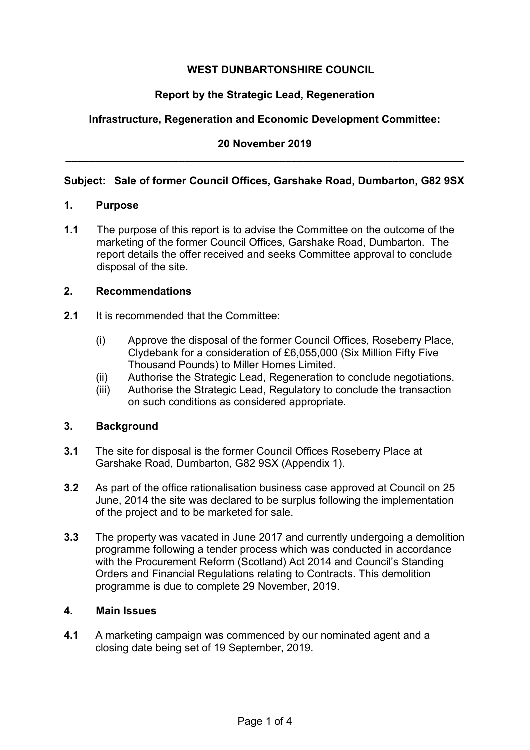# **WEST DUNBARTONSHIRE COUNCIL**

## **Report by the Strategic Lead, Regeneration**

## **Infrastructure, Regeneration and Economic Development Committee:**

## **20 November 2019 \_\_\_\_\_\_\_\_\_\_\_\_\_\_\_\_\_\_\_\_\_\_\_\_\_\_\_\_\_\_\_\_\_\_\_\_\_\_\_\_\_\_\_\_\_\_\_\_\_\_\_\_\_\_\_\_\_\_\_\_\_\_\_\_\_\_\_**

### **Subject: Sale of former Council Offices, Garshake Road, Dumbarton, G82 9SX**

#### **1. Purpose**

**1.1** The purpose of this report is to advise the Committee on the outcome of the marketing of the former Council Offices, Garshake Road, Dumbarton. The report details the offer received and seeks Committee approval to conclude disposal of the site.

### **2. Recommendations**

- **2.1** It is recommended that the Committee:
	- (i) Approve the disposal of the former Council Offices, Roseberry Place, Clydebank for a consideration of £6,055,000 (Six Million Fifty Five Thousand Pounds) to Miller Homes Limited.
	- (ii) Authorise the Strategic Lead, Regeneration to conclude negotiations.
	- (iii) Authorise the Strategic Lead, Regulatory to conclude the transaction on such conditions as considered appropriate.

### **3. Background**

- **3.1** The site for disposal is the former Council Offices Roseberry Place at Garshake Road, Dumbarton, G82 9SX (Appendix 1).
- **3.2** As part of the office rationalisation business case approved at Council on 25 June, 2014 the site was declared to be surplus following the implementation of the project and to be marketed for sale.
- **3.3** The property was vacated in June 2017 and currently undergoing a demolition programme following a tender process which was conducted in accordance with the Procurement Reform (Scotland) Act 2014 and Council's Standing Orders and Financial Regulations relating to Contracts. This demolition programme is due to complete 29 November, 2019.

#### **4. Main Issues**

**4.1** A marketing campaign was commenced by our nominated agent and a closing date being set of 19 September, 2019.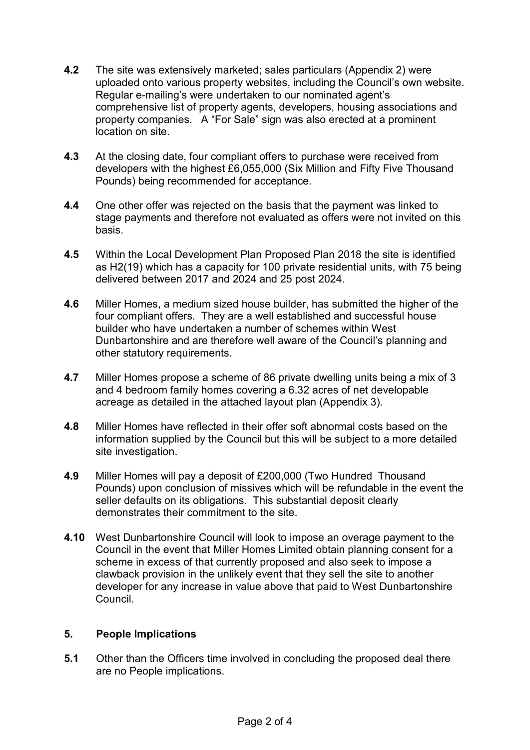- **4.2** The site was extensively marketed; sales particulars (Appendix 2) were uploaded onto various property websites, including the Council's own website. Regular e-mailing's were undertaken to our nominated agent's comprehensive list of property agents, developers, housing associations and property companies. A "For Sale" sign was also erected at a prominent location on site.
- **4.3** At the closing date, four compliant offers to purchase were received from developers with the highest £6,055,000 (Six Million and Fifty Five Thousand Pounds) being recommended for acceptance.
- **4.4** One other offer was rejected on the basis that the payment was linked to stage payments and therefore not evaluated as offers were not invited on this basis.
- **4.5** Within the Local Development Plan Proposed Plan 2018 the site is identified as H2(19) which has a capacity for 100 private residential units, with 75 being delivered between 2017 and 2024 and 25 post 2024.
- **4.6** Miller Homes, a medium sized house builder, has submitted the higher of the four compliant offers. They are a well established and successful house builder who have undertaken a number of schemes within West Dunbartonshire and are therefore well aware of the Council's planning and other statutory requirements.
- **4.7** Miller Homes propose a scheme of 86 private dwelling units being a mix of 3 and 4 bedroom family homes covering a 6.32 acres of net developable acreage as detailed in the attached layout plan (Appendix 3).
- **4.8** Miller Homes have reflected in their offer soft abnormal costs based on the information supplied by the Council but this will be subject to a more detailed site investigation.
- **4.9** Miller Homes will pay a deposit of £200,000 (Two Hundred Thousand Pounds) upon conclusion of missives which will be refundable in the event the seller defaults on its obligations. This substantial deposit clearly demonstrates their commitment to the site.
- **4.10** West Dunbartonshire Council will look to impose an overage payment to the Council in the event that Miller Homes Limited obtain planning consent for a scheme in excess of that currently proposed and also seek to impose a clawback provision in the unlikely event that they sell the site to another developer for any increase in value above that paid to West Dunbartonshire Council.

## **5. People Implications**

**5.1** Other than the Officers time involved in concluding the proposed deal there are no People implications.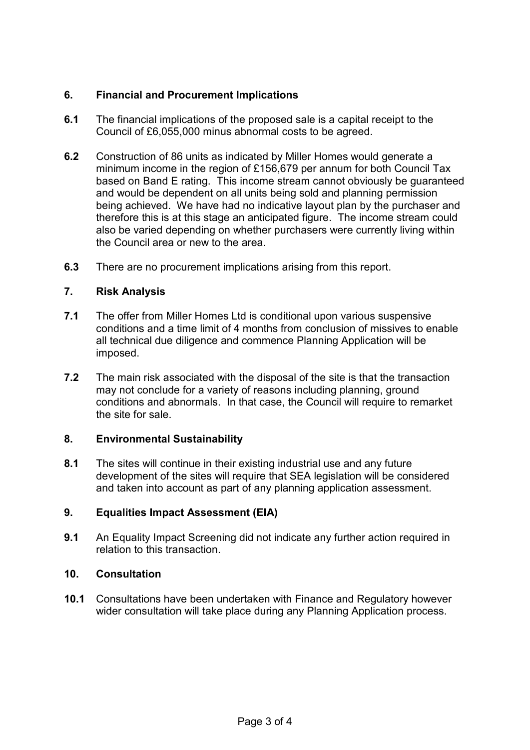## **6. Financial and Procurement Implications**

- **6.1** The financial implications of the proposed sale is a capital receipt to the Council of £6,055,000 minus abnormal costs to be agreed.
- **6.2** Construction of 86 units as indicated by Miller Homes would generate a minimum income in the region of £156,679 per annum for both Council Tax based on Band E rating. This income stream cannot obviously be guaranteed and would be dependent on all units being sold and planning permission being achieved. We have had no indicative layout plan by the purchaser and therefore this is at this stage an anticipated figure. The income stream could also be varied depending on whether purchasers were currently living within the Council area or new to the area.
- **6.3** There are no procurement implications arising from this report.

# **7. Risk Analysis**

- **7.1** The offer from Miller Homes Ltd is conditional upon various suspensive conditions and a time limit of 4 months from conclusion of missives to enable all technical due diligence and commence Planning Application will be imposed.
- **7.2** The main risk associated with the disposal of the site is that the transaction may not conclude for a variety of reasons including planning, ground conditions and abnormals. In that case, the Council will require to remarket the site for sale.

## **8. Environmental Sustainability**

**8.1** The sites will continue in their existing industrial use and any future development of the sites will require that SEA legislation will be considered and taken into account as part of any planning application assessment.

# **9. Equalities Impact Assessment (EIA)**

**9.1** An Equality Impact Screening did not indicate any further action required in relation to this transaction.

# **10. Consultation**

**10.1** Consultations have been undertaken with Finance and Regulatory however wider consultation will take place during any Planning Application process.